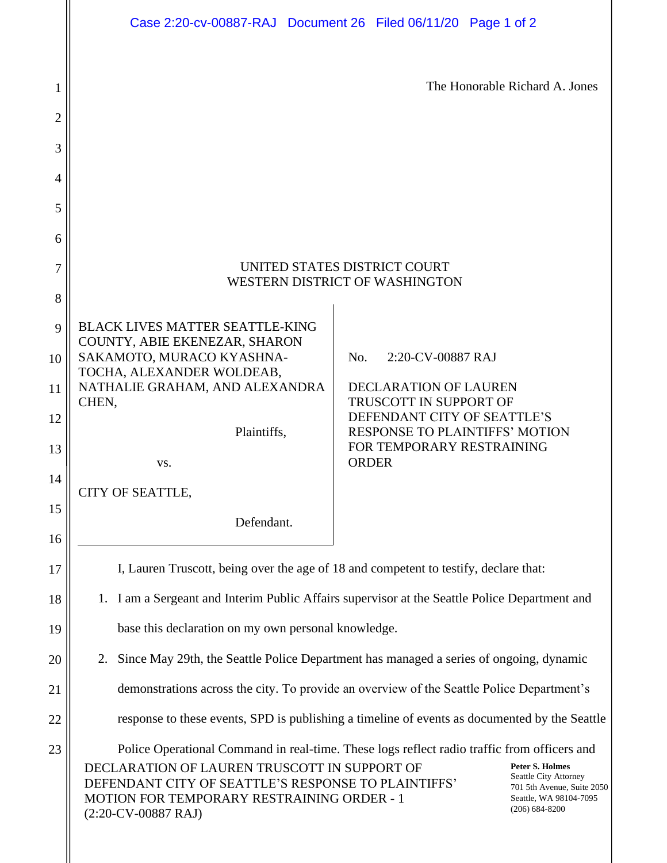|                | Case 2:20-cv-00887-RAJ Document 26 Filed 06/11/20 Page 1 of 2                                                                                                                                                                                                                                                                                                                                             |                                                                    |  |  |
|----------------|-----------------------------------------------------------------------------------------------------------------------------------------------------------------------------------------------------------------------------------------------------------------------------------------------------------------------------------------------------------------------------------------------------------|--------------------------------------------------------------------|--|--|
|                |                                                                                                                                                                                                                                                                                                                                                                                                           |                                                                    |  |  |
| 1              | The Honorable Richard A. Jones                                                                                                                                                                                                                                                                                                                                                                            |                                                                    |  |  |
| $\overline{2}$ |                                                                                                                                                                                                                                                                                                                                                                                                           |                                                                    |  |  |
| 3              |                                                                                                                                                                                                                                                                                                                                                                                                           |                                                                    |  |  |
| 4              |                                                                                                                                                                                                                                                                                                                                                                                                           |                                                                    |  |  |
| 5              |                                                                                                                                                                                                                                                                                                                                                                                                           |                                                                    |  |  |
| 6              |                                                                                                                                                                                                                                                                                                                                                                                                           |                                                                    |  |  |
| 7<br>8         | UNITED STATES DISTRICT COURT<br>WESTERN DISTRICT OF WASHINGTON                                                                                                                                                                                                                                                                                                                                            |                                                                    |  |  |
| 9              | <b>BLACK LIVES MATTER SEATTLE-KING</b>                                                                                                                                                                                                                                                                                                                                                                    |                                                                    |  |  |
| 10             | COUNTY, ABIE EKENEZAR, SHARON<br>SAKAMOTO, MURACO KYASHNA-                                                                                                                                                                                                                                                                                                                                                | 2:20-CV-00887 RAJ<br>No.                                           |  |  |
| 11             | TOCHA, ALEXANDER WOLDEAB,<br>NATHALIE GRAHAM, AND ALEXANDRA                                                                                                                                                                                                                                                                                                                                               | <b>DECLARATION OF LAUREN</b>                                       |  |  |
| 12             | CHEN,<br>TRUSCOTT IN SUPPORT OF<br>DEFENDANT CITY OF SEATTLE'S                                                                                                                                                                                                                                                                                                                                            |                                                                    |  |  |
| 13             | Plaintiffs,                                                                                                                                                                                                                                                                                                                                                                                               | <b>RESPONSE TO PLAINTIFFS' MOTION</b><br>FOR TEMPORARY RESTRAINING |  |  |
| 14             | VS.<br>CITY OF SEATTLE,                                                                                                                                                                                                                                                                                                                                                                                   | <b>ORDER</b>                                                       |  |  |
| 15             | Defendant.                                                                                                                                                                                                                                                                                                                                                                                                |                                                                    |  |  |
| 16             |                                                                                                                                                                                                                                                                                                                                                                                                           |                                                                    |  |  |
| 17             | I, Lauren Truscott, being over the age of 18 and competent to testify, declare that:                                                                                                                                                                                                                                                                                                                      |                                                                    |  |  |
| 18             | 1. I am a Sergeant and Interim Public Affairs supervisor at the Seattle Police Department and                                                                                                                                                                                                                                                                                                             |                                                                    |  |  |
| 19             | base this declaration on my own personal knowledge.                                                                                                                                                                                                                                                                                                                                                       |                                                                    |  |  |
| 20             | Since May 29th, the Seattle Police Department has managed a series of ongoing, dynamic<br>2.                                                                                                                                                                                                                                                                                                              |                                                                    |  |  |
| 21             | demonstrations across the city. To provide an overview of the Seattle Police Department's                                                                                                                                                                                                                                                                                                                 |                                                                    |  |  |
| 22             | response to these events, SPD is publishing a timeline of events as documented by the Seattle                                                                                                                                                                                                                                                                                                             |                                                                    |  |  |
| 23             | Police Operational Command in real-time. These logs reflect radio traffic from officers and<br><b>Peter S. Holmes</b><br>DECLARATION OF LAUREN TRUSCOTT IN SUPPORT OF<br>Seattle City Attorney<br>DEFENDANT CITY OF SEATTLE'S RESPONSE TO PLAINTIFFS'<br>701 5th Avenue, Suite 2050<br>MOTION FOR TEMPORARY RESTRAINING ORDER - 1<br>Seattle, WA 98104-7095<br>$(206)$ 684-8200<br>$(2:20$ -CV-00887 RAJ) |                                                                    |  |  |